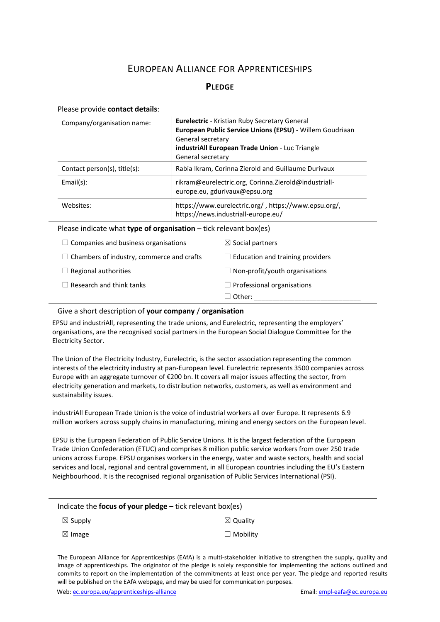# EUROPEAN ALLIANCE FOR APPRENTICESHIPS

## **PLEDGE**

#### Please provide **contact details**:

| Company/organisation name:                                          | General secretary<br>General secretary                                                      | Eurelectric - Kristian Ruby Secretary General<br>European Public Service Unions (EPSU) - Willem Goudriaan<br>industriAll European Trade Union - Luc Triangle |
|---------------------------------------------------------------------|---------------------------------------------------------------------------------------------|--------------------------------------------------------------------------------------------------------------------------------------------------------------|
| Contact person(s), title(s):                                        | Rabia Ikram, Corinna Zierold and Guillaume Durivaux                                         |                                                                                                                                                              |
| Email(s):                                                           | rikram@eurelectric.org, Corinna.Zierold@industriall-<br>europe.eu, gdurivaux@epsu.org       |                                                                                                                                                              |
| Websites:                                                           | https://www.eurelectric.org/, https://www.epsu.org/,<br>https://news.industriall-europe.eu/ |                                                                                                                                                              |
| Please indicate what type of organisation $-$ tick relevant box(es) |                                                                                             |                                                                                                                                                              |
| Companies and business organisations                                |                                                                                             | $\boxtimes$ Social partners                                                                                                                                  |
| Chambers of industry, commerce and crafts                           |                                                                                             | $\Box$ Education and training providers                                                                                                                      |
| Regional authorities                                                |                                                                                             | Non-profit/youth organisations                                                                                                                               |

#### Give a short description of **your company** / **organisation**

EPSU and industriAll, representing the trade unions, and Eurelectric, representing the employers' organisations, are the recognised social partners in the European Social Dialogue Committee for the Electricity Sector.

 $\Box$  Other:

☐ Research and think tanks ☐ Professional organisations

The Union of the Electricity Industry, Eurelectric, is the sector association representing the common interests of the electricity industry at pan-European level. Eurelectric represents 3500 companies across Europe with an aggregate turnover of €200 bn. It covers all major issues affecting the sector, from electricity generation and markets, to distribution networks, customers, as well as environment and sustainability issues.

industriAll European Trade Union is the voice of industrial workers all over Europe. It represents 6.9 million workers across supply chains in manufacturing, mining and energy sectors on the European level.

EPSU is the European Federation of Public Service Unions. It is the largest federation of the European Trade Union Confederation (ETUC) and comprises 8 million public service workers from over 250 trade unions across Europe. EPSU organises workers in the energy, water and waste sectors, health and social services and local, regional and central government, in all European countries including the EU's Eastern Neighbourhood. It is the recognised regional organisation of Public Services International (PSI).

| Indicate the <b>focus of your pledge</b> $-$ tick relevant box(es) |                     |  |
|--------------------------------------------------------------------|---------------------|--|
| $\boxtimes$ Supply                                                 | $\boxtimes$ Quality |  |
| $\boxtimes$ Image                                                  | $\Box$ Mobility     |  |

The European Alliance for Apprenticeships (EAfA) is a multi-stakeholder initiative to strengthen the supply, quality and image of apprenticeships. The originator of the pledge is solely responsible for implementing the actions outlined and commits to report on the implementation of the commitments at least once per year. The pledge and reported results will be published on the EAfA webpage, and may be used for communication purposes.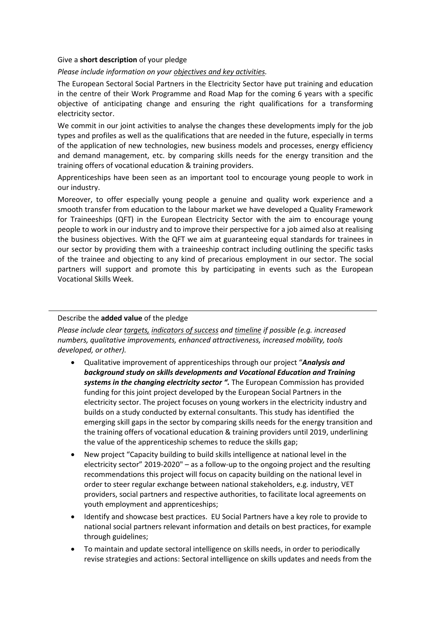## Give a **short description** of your pledge

## *Please include information on your objectives and key activities.*

The European Sectoral Social Partners in the Electricity Sector have put training and education in the centre of their Work Programme and Road Map for the coming 6 years with a specific objective of anticipating change and ensuring the right qualifications for a transforming electricity sector.

We commit in our joint activities to analyse the changes these developments imply for the job types and profiles as well as the qualifications that are needed in the future, especially in terms of the application of new technologies, new business models and processes, energy efficiency and demand management, etc. by comparing skills needs for the energy transition and the training offers of vocational education & training providers.

Apprenticeships have been seen as an important tool to encourage young people to work in our industry.

Moreover, to offer especially young people a genuine and quality work experience and a smooth transfer from education to the labour market we have developed a Quality Framework for Traineeships (QFT) in the European Electricity Sector with the aim to encourage young people to work in our industry and to improve their perspective for a job aimed also at realising the business objectives. With the QFT we aim at guaranteeing equal standards for trainees in our sector by providing them with a traineeship contract including outlining the specific tasks of the trainee and objecting to any kind of precarious employment in our sector. The social partners will support and promote this by participating in events such as the European Vocational Skills Week.

## Describe the **added value** of the pledge

*Please include clear targets, indicators of success and timeline if possible (e.g. increased numbers, qualitative improvements, enhanced attractiveness, increased mobility, tools developed, or other).*

- Qualitative improvement of apprenticeships through our project "*Analysis and background study on skills developments and Vocational Education and Training systems in the changing electricity sector ".* The European Commission has provided funding for this joint project developed by the European Social Partners in the electricity sector. The project focuses on young workers in the electricity industry and builds on a study conducted by external consultants. This study has identified the emerging skill gaps in the sector by comparing skills needs for the energy transition and the training offers of vocational education & training providers until 2019, underlining the value of the apprenticeship schemes to reduce the skills gap;
- New project "Capacity building to build skills intelligence at national level in the electricity sector" 2019-2020" – as a follow-up to the ongoing project and the resulting recommendations this project will focus on capacity building on the national level in order to steer regular exchange between national stakeholders, e.g. industry, VET providers, social partners and respective authorities, to facilitate local agreements on youth employment and apprenticeships;
- Identify and showcase best practices. EU Social Partners have a key role to provide to national social partners relevant information and details on best practices, for example through guidelines;
- To maintain and update sectoral intelligence on skills needs, in order to periodically revise strategies and actions: Sectoral intelligence on skills updates and needs from the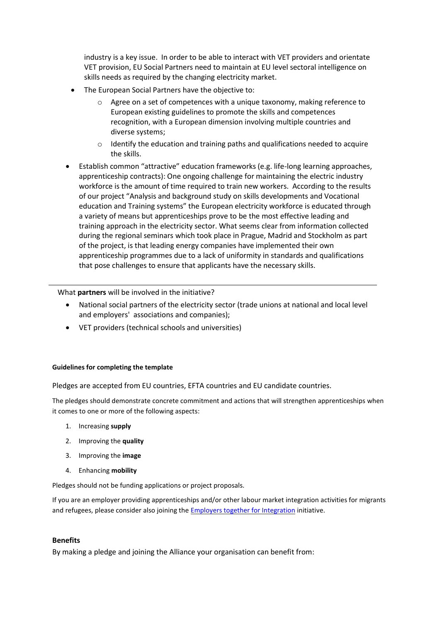industry is a key issue. In order to be able to interact with VET providers and orientate VET provision, EU Social Partners need to maintain at EU level sectoral intelligence on skills needs as required by the changing electricity market.

- The European Social Partners have the objective to:
	- o Agree on a set of competences with a unique taxonomy, making reference to European existing guidelines to promote the skills and competences recognition, with a European dimension involving multiple countries and diverse systems;
	- o Identify the education and training paths and qualifications needed to acquire the skills.
- Establish common "attractive" education frameworks (e.g. life-long learning approaches, apprenticeship contracts): One ongoing challenge for maintaining the electric industry workforce is the amount of time required to train new workers. According to the results of our project "Analysis and background study on skills developments and Vocational education and Training systems" the European electricity workforce is educated through a variety of means but apprenticeships prove to be the most effective leading and training approach in the electricity sector. What seems clear from information collected during the regional seminars which took place in Prague, Madrid and Stockholm as part of the project, is that leading energy companies have implemented their own apprenticeship programmes due to a lack of uniformity in standards and qualifications that pose challenges to ensure that applicants have the necessary skills.

What **partners** will be involved in the initiative?

- National social partners of the electricity sector (trade unions at national and local level and employers' associations and companies);
- VET providers (technical schools and universities)

#### **Guidelines for completing the template**

Pledges are accepted from EU countries, EFTA countries and EU candidate countries.

The pledges should demonstrate concrete commitment and actions that will strengthen apprenticeships when it comes to one or more of the following aspects:

- 1. Increasing **supply**
- 2. Improving the **quality**
- 3. Improving the **image**
- 4. Enhancing **mobility**

Pledges should not be funding applications or project proposals.

If you are an employer providing apprenticeships and/or other labour market integration activities for migrants and refugees, please consider also joining the [Employers together for Integration](https://ec.europa.eu/home-affairs/what-we-do/policies/legal-migration/european-dialogue-skills-and-migration/integration-pact_en) initiative.

#### **Benefits**

By making a pledge and joining the Alliance your organisation can benefit from: